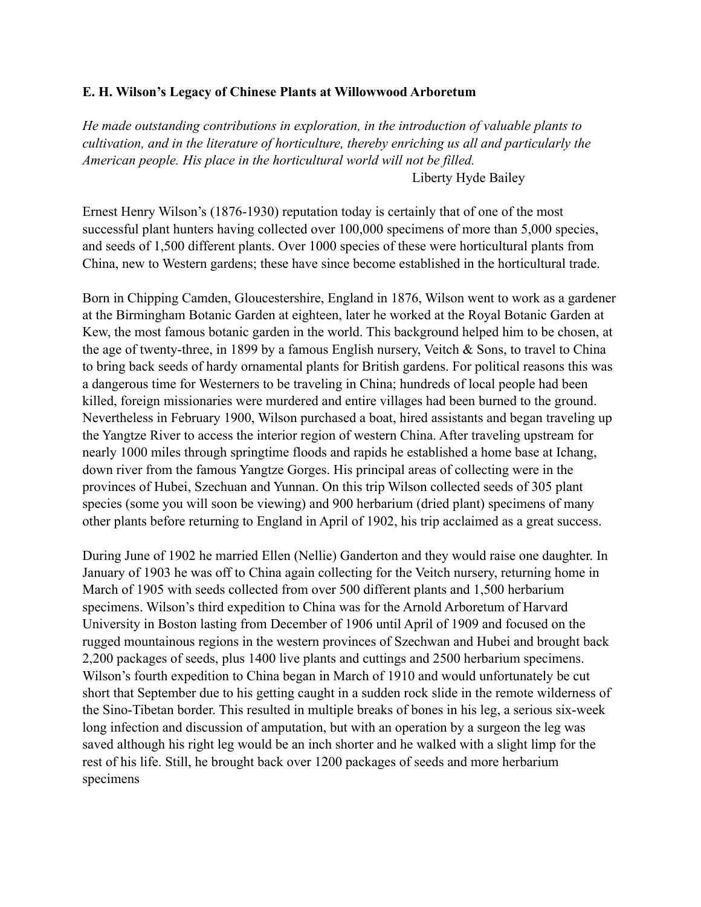## **E. H. Wilson's Legacy of Chinese Plants at Willowwood Arboretum**

*He made outstanding contributions in exploration, in the introduction of valuable plants to cultivation, and in the literature of horticulture, thereby enriching us all and particularly the American people. His place in the horticultural world will not be filled.*  Liberty Hyde Bailey

Ernest Henry Wilson's (1876-1930) reputation today is certainly that of one of the most successful plant hunters having collected over 100,000 specimens of more than 5,000 species, and seeds of 1,500 different plants. Over 1000 species of these were horticultural plants from China, new to Western gardens; these have since become established in the horticultural trade.

Born in Chipping Camden, Gloucestershire, England in 1876, Wilson went to work as a gardener at the Birmingham Botanic Garden at eighteen, later he worked at the Royal Botanic Garden at Kew, the most famous botanic garden in the world. This background helped him to be chosen, at the age of twenty-three, in 1899 by a famous English nursery, Veitch & Sons, to travel to China to bring back seeds of hardy ornamental plants for British gardens. For political reasons this was a dangerous time for Westerners to be traveling in China; hundreds of local people had been killed, foreign missionaries were murdered and entire villages had been burned to the ground. Nevertheless in February 1900, Wilson purchased a boat, hired assistants and began traveling up the Yangtze River to access the interior region of western China. After traveling upstream for nearly 1000 miles through springtime floods and rapids he established a home base at Ichang, down river from the famous Yangtze Gorges. His principal areas of collecting were in the provinces of Hubei, Szechuan and Yunnan. On this trip Wilson collected seeds of 305 plant species (some you will soon be viewing) and 900 herbarium (dried plant) specimens of many other plants before returning to England in April of 1902, his trip acclaimed as a great success.

During June of 1902 he married Ellen (Nellie) Ganderton and they would raise one daughter. In January of 1903 he was off to China again collecting for the Veitch nursery, returning home in March of 1905 with seeds collected from over 500 different plants and 1,500 herbarium specimens. Wilson's third expedition to China was for the Arnold Arboretum of Harvard University in Boston lasting from December of 1906 until April of 1909 and focused on the rugged mountainous regions in the western provinces of Szechwan and Hubei and brought back 2,200 packages of seeds, plus 1400 live plants and cuttings and 2500 herbarium specimens. Wilson's fourth expedition to China began in March of 1910 and would unfortunately be cut short that September due to his getting caught in a sudden rock slide in the remote wilderness of the Sino-Tibetan border. This resulted in multiple breaks of bones in his leg, a serious six-week long infection and discussion of amputation, but with an operation by a surgeon the leg was saved although his right leg would be an inch shorter and he walked with a slight limp for the rest of his life. Still, he brought back over 1200 packages of seeds and more herbarium specimens